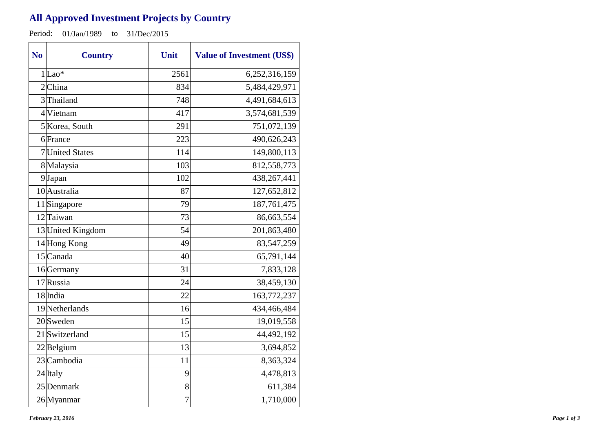## **All Approved Investment Projects by Country**

Period: 01/Jan/1989 to 31/Dec/2015

| N <sub>o</sub> | <b>Country</b>    | Unit           | <b>Value of Investment (US\$)</b> |
|----------------|-------------------|----------------|-----------------------------------|
|                | $1$ Lao*          | 2561           | 6,252,316,159                     |
|                | 2China            | 834            | 5,484,429,971                     |
|                | 3Thailand         | 748            | 4,491,684,613                     |
|                | 4 Vietnam         | 417            | 3,574,681,539                     |
|                | 5 Korea, South    | 291            | 751,072,139                       |
|                | 6 France          | 223            | 490,626,243                       |
|                | 7 United States   | 114            | 149,800,113                       |
|                | 8 Malaysia        | 103            | 812,558,773                       |
|                | 9Japan            | 102            | 438,267,441                       |
|                | 10 Australia      | 87             | 127,652,812                       |
|                | 11 Singapore      | 79             | 187,761,475                       |
|                | 12 Taiwan         | 73             | 86,663,554                        |
|                | 13 United Kingdom | 54             | 201,863,480                       |
|                | 14 Hong Kong      | 49             | 83,547,259                        |
|                | 15 Canada         | 40             | 65,791,144                        |
|                | 16 Germany        | 31             | 7,833,128                         |
|                | 17 Russia         | 24             | 38,459,130                        |
|                | 18 India          | 22             | 163,772,237                       |
|                | 19 Netherlands    | 16             | 434,466,484                       |
|                | $20$ Sweden       | 15             | 19,019,558                        |
|                | 21 Switzerland    | 15             | 44,492,192                        |
|                | $22$ Belgium      | 13             | 3,694,852                         |
|                | 23 Cambodia       | 11             | 8,363,324                         |
|                | 24 Italy          | 9              | 4,478,813                         |
|                | 25 Denmark        | 8              | 611,384                           |
|                | 26 Myanmar        | $\overline{7}$ | 1,710,000                         |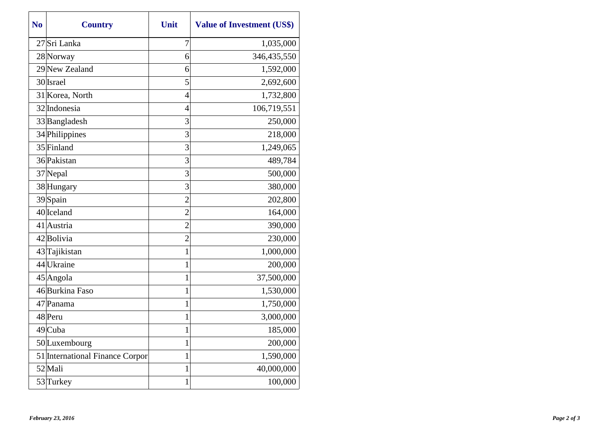| N <sub>0</sub> | <b>Country</b>                  | Unit           | <b>Value of Investment (US\$)</b> |
|----------------|---------------------------------|----------------|-----------------------------------|
|                | 27 Sri Lanka                    | 7              | 1,035,000                         |
|                | 28 Norway                       | 6              | 346,435,550                       |
|                | 29 New Zealand                  | 6              | 1,592,000                         |
|                | 30 Israel                       | 5              | 2,692,600                         |
|                | 31 Korea, North                 | $\overline{4}$ | 1,732,800                         |
|                | 32 Indonesia                    | 4              | 106,719,551                       |
|                | 33 Bangladesh                   | 3              | 250,000                           |
|                | 34 Philippines                  | 3              | 218,000                           |
|                | 35 Finland                      | 3              | 1,249,065                         |
|                | 36 Pakistan                     | 3              | 489,784                           |
|                | 37 Nepal                        | 3              | 500,000                           |
|                | 38 Hungary                      | 3              | 380,000                           |
|                | 39 Spain                        | $\overline{2}$ | 202,800                           |
|                | 40 Iceland                      | $\overline{2}$ | 164,000                           |
|                | 41 Austria                      | $\overline{2}$ | 390,000                           |
|                | 42 Bolivia                      | $\overline{c}$ | 230,000                           |
|                | 43 Tajikistan                   | 1              | 1,000,000                         |
|                | 44 Ukraine                      | 1              | 200,000                           |
|                | $45$ Angola                     | 1              | 37,500,000                        |
|                | 46Burkina Faso                  | 1              | 1,530,000                         |
|                | 47 Panama                       | $\mathbf 1$    | 1,750,000                         |
|                | 48 Peru                         | 1              | 3,000,000                         |
|                | 49 Cuba                         | 1              | 185,000                           |
|                | 50 Luxembourg                   | $\mathbf{1}$   | 200,000                           |
|                | 51 International Finance Corpor | 1              | 1,590,000                         |
|                | 52 Mali                         | 1              | 40,000,000                        |
|                | 53Turkey                        | 1              | 100,000                           |